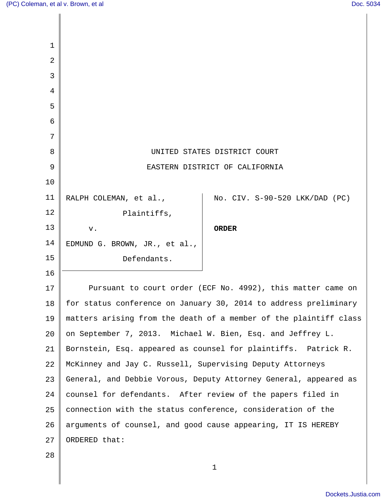| 1  |                                                                   |
|----|-------------------------------------------------------------------|
| 2  |                                                                   |
| 3  |                                                                   |
| 4  |                                                                   |
| 5  |                                                                   |
| 6  |                                                                   |
| 7  |                                                                   |
| 8  | UNITED STATES DISTRICT COURT                                      |
| 9  | EASTERN DISTRICT OF CALIFORNIA                                    |
| 10 |                                                                   |
| 11 | No. CIV. S-90-520 LKK/DAD (PC)<br>RALPH COLEMAN, et al.,          |
| 12 | Plaintiffs,                                                       |
| 13 | <b>ORDER</b><br>v.                                                |
| 14 | EDMUND G. BROWN, JR., et al.,                                     |
| 15 | Defendants.                                                       |
| 16 |                                                                   |
| 17 | Pursuant to court order (ECF No. 4992), this matter came on       |
| 18 | for status conference on January 30, 2014 to address preliminary  |
| 19 | matters arising from the death of a member of the plaintiff class |
| 20 | on September 7, 2013. Michael W. Bien, Esq. and Jeffrey L.        |
| 21 | Bornstein, Esq. appeared as counsel for plaintiffs. Patrick R.    |
| 22 | McKinney and Jay C. Russell, Supervising Deputy Attorneys         |
| 23 | General, and Debbie Vorous, Deputy Attorney General, appeared as  |
| 24 | counsel for defendants. After review of the papers filed in       |
| 25 | connection with the status conference, consideration of the       |
| 26 | arguments of counsel, and good cause appearing, IT IS HEREBY      |
| 27 | ORDERED that:                                                     |
| 28 |                                                                   |
|    | 1                                                                 |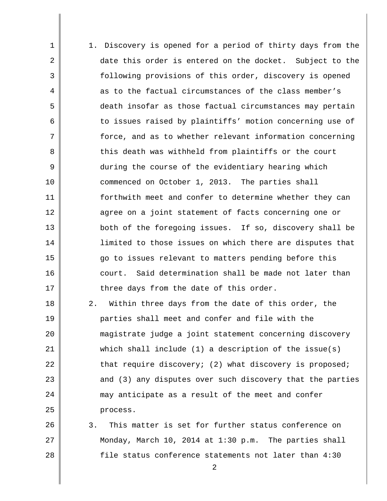1 2 3 4 5 6 7 8 9 10 11 12 13 14 15 16 17 18 1. Discovery is opened for a period of thirty days from the date this order is entered on the docket. Subject to the following provisions of this order, discovery is opened as to the factual circumstances of the class member's death insofar as those factual circumstances may pertain to issues raised by plaintiffs' motion concerning use of force, and as to whether relevant information concerning this death was withheld from plaintiffs or the court during the course of the evidentiary hearing which commenced on October 1, 2013. The parties shall forthwith meet and confer to determine whether they can agree on a joint statement of facts concerning one or both of the foregoing issues. If so, discovery shall be limited to those issues on which there are disputes that go to issues relevant to matters pending before this court. Said determination shall be made not later than three days from the date of this order.

24 2. Within three days from the date of this order, the parties shall meet and confer and file with the magistrate judge a joint statement concerning discovery which shall include  $(1)$  a description of the issue(s) that require discovery; (2) what discovery is proposed; and (3) any disputes over such discovery that the parties may anticipate as a result of the meet and confer process.

19

20

21

22

23

25

26 27 28 3. This matter is set for further status conference on Monday, March 10, 2014 at 1:30 p.m. The parties shall file status conference statements not later than 4:30

2